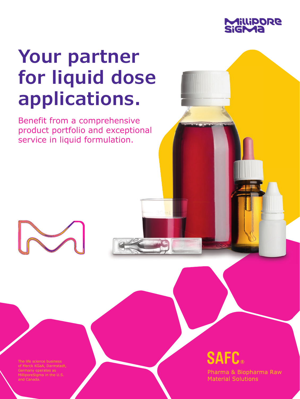

# **Your partner for liquid dose applications.**

Benefit from a comprehensive product portfolio and exceptional service in liquid formulation.

e life science business MilliporeSigma in the U.S. and Canada.

## **SAFC.**

Pharma & Biopharma Raw **Material Solutions**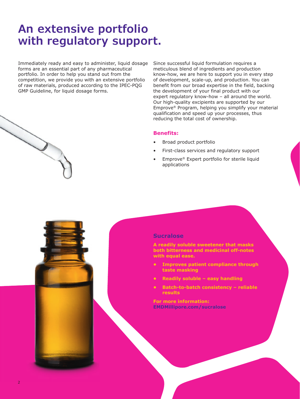### **An extensive portfolio with regulatory support.**

Immediately ready and easy to administer, liquid dosage forms are an essential part of any pharmaceutical portfolio. In order to help you stand out from the competition, we provide you with an extensive portfolio of raw materials, produced according to the IPEC-PQG GMP Guideline, for liquid dosage forms.

Since successful liquid formulation requires a meticulous blend of ingredients and production know-how, we are here to support you in every step of development, scale-up, and production. You can benefit from our broad expertise in the field, backing the development of your final product with our expert regulatory know-how – all around the world. Our high-quality excipients are supported by our Emprove® Program, helping you simplify your material qualification and speed up your processes, thus reducing the total cost of ownership.

#### **Benefits:**

- Broad product portfolio
- First-class services and regulatory support
- Emprove® Expert portfolio for sterile liquid applications

#### **Sucralose**

**A readily soluble sweetener that masks both bitterness and medicinal off-notes with equal ease.**

- **Improves patient compliance through taste masking**
- **Readily soluble easy handling**
- **Batch-to-batch consistency reliable results**

**For more information: EMDMillipore.com/sucralose**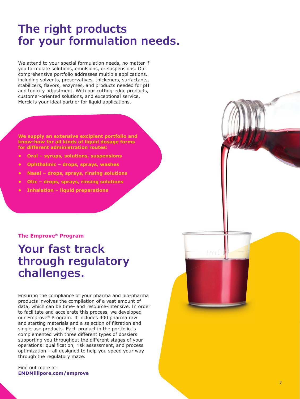### **The right products for your formulation needs.**

We attend to your special formulation needs, no matter if you formulate solutions, emulsions, or suspensions. Our comprehensive portfolio addresses multiple applications, including solvents, preservatives, thickeners, surfactants, stabilizers, flavors, enzymes, and products needed for pH and tonicity adjustment. With our cutting-edge products, customer-oriented solutions, and exceptional service, Merck is your ideal partner for liquid applications.

**We supply an extensive excipient portfolio and know-how for all kinds of liquid dosage forms for different administration routes:**

- **Oral syrups, solutions, suspensions**
- **Ophthalmic drops, sprays, washes**
- **Nasal drops, sprays, rinsing solutions**
- **Otic drops, sprays, rinsing solutions**
- **Inhalation liquid preparations**

#### **The Emprove® Program**

### **Your fast track through regulatory challenges.**

Ensuring the compliance of your pharma and bio-pharma products involves the compilation of a vast amount of data, which can be time- and resource-intensive. In order to facilitate and accelerate this process, we developed our Emprove® Program. It includes 400 pharma raw and starting materials and a selection of filtration and single-use products. Each product in the portfolio is complemented with three different types of dossiers supporting you throughout the different stages of your operations: qualification, risk assessment, and process optimization – all designed to help you speed your way through the regulatory maze.

Find out more at: **EMDMillipore.com/emprove**

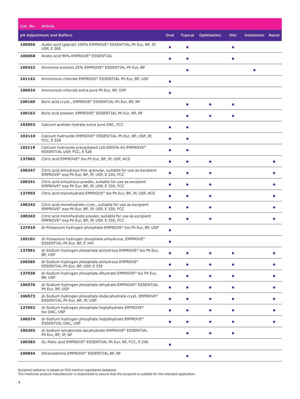| Cat. No. | <b>Article</b>                                                                                                     |           |                |                   |             |                         |           |
|----------|--------------------------------------------------------------------------------------------------------------------|-----------|----------------|-------------------|-------------|-------------------------|-----------|
|          | pH Adjustment and Buffers                                                                                          | Oral      | <b>Topical</b> | <b>Ophthalmic</b> | <b>Otic</b> | <b>Inhalation Nasal</b> |           |
| 100056   | Acetic acid (glacial) 100% EMPROVE® ESSENTIAL Ph Eur, BP, JP,<br><b>USP, E 260</b>                                 |           |                |                   |             |                         |           |
| 100058   | Acetic acid 96% EMPROVE® ESSENTIAL                                                                                 |           |                |                   | $\bullet$   |                         |           |
| 105422   | Ammonia solution 25% EMPROVE® ESSENTIAL Ph Eur, BP                                                                 |           |                |                   |             |                         |           |
| 101142   | Ammonium chloride EMPROVE® ESSENTIAL Ph Eur, BP, USP                                                               |           |                |                   |             |                         |           |
| 100924   | Ammonium chloride extra pure Ph Eur, BP, USP                                                                       |           |                |                   |             |                         |           |
| 100160   | Boric acid cryst., EMPROVE® ESSENTIAL Ph Eur, BP, NF                                                               |           | $\bullet$      | $\bullet$         | $\bullet$   |                         |           |
| 100162   | Boric acid powder, EMPROVE® ESSENTIAL Ph Eur, BP, NF                                                               |           | $\bullet$      | $\bullet$         | $\bullet$   |                         |           |
| 102052   | Calcium acetate hydrate extra pure DAC, FCC                                                                        | $\bullet$ | $\bullet$      |                   |             |                         |           |
| 102110   | Calcium hydroxide EMPROVE® ESSENTIAL Ph Eur, BP, USP, JP,<br>FCC, E 526                                            |           | ●              |                   |             |                         |           |
| 102119   | Calcium hydroxide precipitated (≤0.0005% Al) EMPROVE®<br>ESSENTIAL USP, FCC, E 526                                 |           |                |                   |             |                         |           |
| 137002   | Citric acid EMPROVE® bio Ph Eur, BP, JP, USP, ACS                                                                  |           |                | $\bullet$         |             |                         |           |
| 100247   | Citric acid anhydrous fine-granular, suitable for use as excipient<br>EMPROVE® exp Ph Eur, BP, JP, USP, E 330, FCC |           |                | $\bullet$         |             |                         |           |
| 100241   | Citric acid anhydrous powder, suitable for use as excipient<br>EMPROVE® exp Ph Eur, BP, JP, USP, E 330, FCC        |           | $\bullet$      | $\bullet$         |             |                         |           |
| 137003   | Citric acid monohydrate EMPROVE® bio Ph Eur, BP, JP, USP, ACS                                                      | ●         | $\bullet$      | $\bullet$         |             |                         |           |
| 100242   | Citric acid monohydrate cryst., suitable for use as excipient<br>EMPROVE® exp Ph Eur, BP, JP, USP, E 330, FCC      |           |                | $\bullet$         |             |                         |           |
| 100243   | Citric acid monohydrate powder, suitable for use as excipient<br>EMPROVE® exp Ph Eur, BP, JP, USP, E 330, FCC      | $\bullet$ | $\bullet$      | $\bullet$         |             |                         |           |
| 137010   | di-Potassium hydrogen phosphate EMPROVE® bio Ph Eur, BP, USP                                                       | $\bullet$ |                |                   |             |                         |           |
| 105101   | di-Potassium hydrogen phosphate anhydrous, EMPROVE <sup>®</sup><br>ESSENTIAL Ph Eur, BP, E 340                     |           |                |                   |             |                         |           |
| 137091   | di-Sodium hydrogen phosphate anhydrous EMPROVE® bio Ph Eur,<br>BP, USP                                             |           |                |                   |             |                         |           |
| 106585   | di-Sodium hydrogen phosphate anhydrous EMPROVE <sup>®</sup><br>ESSENTIAL Ph Eur, BP, USP, E 339                    | $\bullet$ | $\bullet$      | $\bullet$         | $\bullet$   |                         |           |
| 137036   | di-Sodium hydrogen phosphate dihydrate EMPROVE® bio Ph Eur,<br>BP, USP                                             | $\bullet$ | $\bullet$      | $\bullet$         | $\bullet$   |                         | $\bullet$ |
| 106576   | di-Sodium hydrogen phosphate dihydrate EMPROVE® ESSENTIAL<br>Ph Eur, BP, USP                                       | $\bullet$ | $\bullet$      | $\bullet$         | $\bullet$   |                         | $\bullet$ |
| 106573   | di-Sodium hydrogen phosphate dodecahydrate cryst. EMPROVE®<br>ESSENTIAL Ph Eur, BP, JP, USP                        | $\bullet$ |                | $\bullet$         | $\bullet$   |                         | $\bullet$ |
| 137092   | di-Sodium hydrogen phosphate heptahydrate EMPROVE <sup>®</sup><br>bio DAC, USP                                     | $\bullet$ | $\bullet$      | $\bullet$         | $\bullet$   |                         | $\bullet$ |
| 106574   | di-Sodium hydrogen phosphate heptahydrate EMPROVE®<br><b>ESSENTIAL DAC, USP</b>                                    | $\bullet$ | $\bullet$      | $\bullet$         | $\bullet$   |                         |           |
| 106303   | di-Sodium tetraborate decahydrate EMPROVE® ESSENTIAL<br>Ph Eur, BP, JP, NF                                         |           | $\bullet$      | $\bullet$         | $\bullet$   |                         |           |
| 100383   | DL-Malic acid EMPROVE® ESSENTIAL Ph Eur, NF, FCC, E 296                                                            | $\bullet$ |                |                   |             |                         |           |
| 100844   | Ethanolamine EMPROVE® ESSENTIAL BP, NF                                                                             |           |                |                   |             |                         |           |

Excipient selection is based on FDA inactive ingredients database.

The medicinal product manufacturer is responsible to assure that the excipient is suitable for the intended application.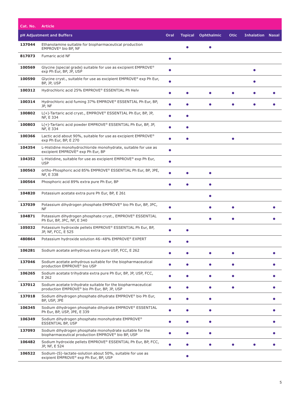| Cat. No. | <b>Article</b>                                                                                                |           |                |                   |             |                         |           |
|----------|---------------------------------------------------------------------------------------------------------------|-----------|----------------|-------------------|-------------|-------------------------|-----------|
|          | pH Adjustment and Buffers                                                                                     | Oral      | <b>Topical</b> | <b>Ophthalmic</b> | <b>Otic</b> | <b>Inhalation Nasal</b> |           |
| 137044   | Ethanolamine suitable for biopharmaceutical production<br>EMPROVE® bio BP, NF                                 |           |                | ٠                 |             |                         |           |
| 817073   | Fumaric acid NF                                                                                               |           |                |                   |             |                         |           |
| 100569   | Glycine (special grade) suitable for use as excipient $EMPROVE®$<br>exp Ph Eur, BP, JP, USP                   |           |                |                   |             |                         |           |
| 100590   | Glycine cryst., suitable for use as excipient $EMPROVE^{\otimes}$ exp Ph Eur,<br>BP, JP, USP                  | $\bullet$ |                |                   |             |                         |           |
| 100312   | Hydrochloric acid 25% EMPROVE® ESSENTIAL Ph Helv                                                              |           |                |                   |             |                         |           |
| 100314   | Hydrochloric acid fuming 37% EMPROVE® ESSENTIAL Ph Eur, BP,<br>JP, NF                                         |           |                |                   |             |                         |           |
| 100802   | L(+)-Tartaric acid cryst., EMPROVE® ESSENTIAL Ph Eur, BP, JP,<br>NF, E 334                                    |           | Ο              |                   |             |                         |           |
| 100803   | L(+)-Tartaric acid powder EMPROVE® ESSENTIAL Ph Eur, BP, JP,<br>NF, E 334                                     | ●         |                |                   |             |                         |           |
| 100366   | Lactic acid about 90%, suitable for use as excipient EMPROVE <sup>®</sup><br>exp Ph Eur, BP, E 270            | $\bullet$ | $\bullet$      |                   | $\bullet$   |                         |           |
| 104354   | L-Histidine monohydrochloride monohydrate, suitable for use as<br>excipient EMPROVE® exp Ph Eur, BP           |           |                |                   |             |                         |           |
| 104352   | L-Histidine, suitable for use as excipient EMPROVE® exp Ph Eur,<br><b>USP</b>                                 |           |                |                   |             |                         |           |
| 100563   | ortho-Phosphoric acid 85% EMPROVE® ESSENTIAL Ph Eur, BP, JPE,<br>NF, E 338                                    |           | O              | $\bullet$         |             |                         |           |
| 100564   | Phosphoric acid 89% extra pure Ph Eur, BP                                                                     |           |                | $\bullet$         |             |                         |           |
| 104820   | Potassium acetate extra pure Ph Eur, BP, E 261                                                                |           |                | $\bullet$         |             |                         |           |
| 137039   | Potassium dihydrogen phosphate EMPROVE® bio Ph Eur, BP, JPC,<br>NF                                            |           |                |                   |             |                         |           |
| 104871   | Potassium dihydrogen phosphate cryst., EMPROVE® ESSENTIAL<br>Ph Eur, BP, JPC, NF, E 340                       |           |                | $\bullet$         |             |                         |           |
| 105032   | Potassium hydroxide pellets EMPROVE® ESSENTIAL Ph Eur, BP,<br>JP, NF, FCC, E 525                              |           |                |                   |             |                         |           |
| 480864   | Potassium hydroxide solution 46-48% EMPROVE® EXPERT                                                           |           |                |                   |             |                         |           |
| 106281   | Sodium acetate anhydrous extra pure USP, FCC, E 262                                                           |           |                |                   |             |                         |           |
| 137046   | Sodium acetate anhydrous suitable for the biopharmaceutical<br>production EMPROVE® bio USP                    |           |                | $\bullet$         |             |                         |           |
| 106265   | Sodium acetate trihydrate extra pure Ph Eur, BP, JP, USP, FCC,<br>E 262                                       | $\bullet$ | $\bullet$      | $\bullet$         | $\bullet$   |                         |           |
| 137012   | Sodium acetate trihydrate suitable for the biopharmaceutical<br>production EMPROVE® bio Ph Eur, BP, JP, USP   | $\bullet$ | $\bullet$      | $\bullet$         | $\bullet$   |                         | $\bullet$ |
| 137018   | Sodium dihydrogen phosphate dihydrate EMPROVE® bio Ph Eur,<br>BP, USP, JPE                                    | $\bullet$ | $\bullet$      | $\bullet$         |             |                         | $\bullet$ |
| 106345   | Sodium dihydrogen phosphate dihydrate EMPROVE® ESSENTIAL<br>Ph Eur, BP, USP, JPE, E 339                       |           |                | $\bullet$         |             |                         |           |
| 106349   | Sodium dihydrogen phosphate monohydrate EMPROVE®<br><b>ESSENTIAL BP, USP</b>                                  |           |                | $\bullet$         |             |                         |           |
| 137093   | Sodium dihydrogen phosphate monohydrate suitable for the<br>biopharmaceutical production EMPROVE® bio BP, USP |           | O              | $\bullet$         |             |                         |           |
| 106482   | Sodium hydroxide pellets EMPROVE® ESSENTIAL Ph Eur, BP, FCC,<br>JP, NF, E 524                                 | $\bullet$ | O              | $\bullet$         |             |                         |           |
| 106522   | Sodium-(S)-lactate-solution about 50%, suitable for use as<br>exipient EMPROVE® exp Ph Eur, BP, USP           |           | $\bullet$      |                   |             |                         |           |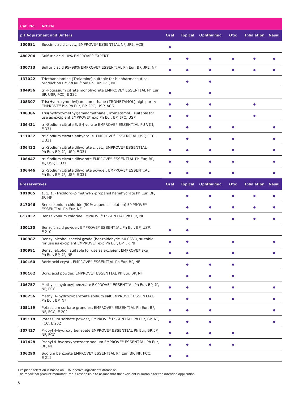| Cat. No.             | <b>Article</b>                                                                                                       |           |                |                   |             |                         |              |
|----------------------|----------------------------------------------------------------------------------------------------------------------|-----------|----------------|-------------------|-------------|-------------------------|--------------|
|                      | pH Adjustment and Buffers                                                                                            | Oral      | <b>Topical</b> | <b>Ophthalmic</b> | <b>Otic</b> | <b>Inhalation Nasal</b> |              |
| 100681               | Succinic acid cryst., EMPROVE® ESSENTIAL NF, JPE, ACS                                                                |           |                |                   |             |                         |              |
| 480704               | Sulfuric acid 10% EMPROVE® EXPERT                                                                                    |           |                | $\bullet$         |             |                         |              |
| 100713               | Sulfuric acid 95-98% EMPROVE® ESSENTIAL Ph Eur, BP, JPE, NF                                                          | ●         |                | О                 |             |                         |              |
| 137022               | Triethanolamine (Trolamine) suitable for biopharmaceutical<br>production EMPROVE® bio Ph Eur, JPE, NF                |           | $\bullet$      | $\bullet$         |             |                         |              |
| 104956               | tri-Potassium citrate monohydrate EMPROVE® ESSENTIAL Ph Eur,<br>BP, USP, FCC, E 332                                  |           |                | $\bullet$         |             |                         |              |
| 108307               | Tris(Hydroxymethyl)aminomethane (TROMETAMOL) high purity<br>EMPROVE® bio Ph Eur, BP, JPC, USP, ACS                   | ė         |                | $\bullet$         |             |                         |              |
| 108386               | Tris(hydroxymethyl)aminomethane (Trometamol), suitable for<br>use as excipient EMPROVE® exp Ph Eur, BP, JPC, USP     | ●         | Ω              | $\bullet$         |             |                         |              |
| 106431               | tri-Sodium citrate 5, 5-hydrate EMPROVE® ESSENTIAL FU VIII,<br>E 331                                                 |           | $\bullet$      | $\bullet$         | $\bullet$   |                         |              |
| 111037               | tri-Sodium citrate anhydrous, EMPROVE® ESSENTIAL USP, FCC,<br>E 331                                                  |           | Ω              | $\bullet$         |             |                         |              |
| 106432               | tri-Sodium citrate dihydrate cryst., EMPROVE® ESSENTIAL<br>Ph Eur, BP, JP, USP, E 331                                |           |                | О                 | Ο           |                         |              |
| 106447               | tri-Sodium citrate dihydrate EMPROVE® ESSENTIAL Ph Eur, BP,<br>JP, USP, E 331                                        |           | Ο              | $\bullet$         | $\bullet$   |                         |              |
| 106446               | tri-Sodium citrate dihydrate powder, EMPROVE® ESSENTIAL<br>Ph Eur, BP, JP, USP, E 331                                | O         |                | C                 | Ο           |                         |              |
| <b>Preservatives</b> |                                                                                                                      | Oral      | <b>Topical</b> | <b>Ophthalmic</b> | Otic        | <b>Inhalation</b>       | <b>Nasal</b> |
|                      |                                                                                                                      |           |                |                   |             |                         |              |
| 101005               | 1, 1, 1, -Trichloro-2-methyl-2-propanol hemihydrate Ph Eur, BP,<br>JP, NF                                            |           |                | О                 |             |                         |              |
| 817046               | Benzalkonium chloride (50% aqueous solution) EMPROVE <sup>®</sup><br>ESSENTIAL Ph Eur, NF                            |           |                |                   |             |                         |              |
| 817032               | Benzalkonium chloride EMPROVE® ESSENTIAL Ph Eur, NF                                                                  |           | Δ              | ●                 |             |                         |              |
| 100130               | Benzoic acid powder, EMPROVE® ESSENTIAL Ph Eur, BP, USP,<br>E 210                                                    |           | Ο              |                   |             |                         |              |
| 100987               | Benzyl alcohol special grade (benzaldehyde ≤0.05%), suitable<br>for use as excipient EMPROVE® exp Ph Eur, BP, JP, NF |           |                |                   |             |                         |              |
| 100981               | Benzyl alcohol, suitable for use as excipient EMPROVE® exp<br>Ph Eur, BP, JP, NF                                     |           |                |                   |             |                         |              |
| 100160               | Boric acid cryst., EMPROVE® ESSENTIAL Ph Eur, BP, NF                                                                 |           | $\bullet$      | $\bullet$         | $\bullet$   |                         |              |
| 100162               | Boric acid powder, EMPROVE® ESSENTIAL Ph Eur, BP, NF                                                                 |           | $\bullet$      | $\bullet$         | $\bullet$   |                         |              |
| 106757               | Methyl 4-hydroxy benzoate EMPROVE® ESSENTIAL Ph Eur, BP, JP,<br>NF, FCC                                              | $\bullet$ | $\bullet$      | $\bullet$         | $\bullet$   |                         | $\bullet$    |
| 106756               | Methyl 4-hydroxybenzoate sodium salt EMPROVE® ESSENTIAL<br>Ph Eur, BP, NF                                            | $\bullet$ |                | $\bullet$         |             |                         |              |
| 105119               | Potassium sorbate granules, EMPROVE® ESSENTIAL Ph Eur, BP,<br><b>NF, FCC, E 202</b>                                  | $\bullet$ |                | $\bullet$         |             |                         |              |
| 105118               | Potassium sorbate powder, EMPROVE® ESSENTIAL Ph Eur, BP, NF,<br>FCC, E 202                                           | $\bullet$ | $\bullet$      | $\bullet$         |             |                         |              |
| 107427               | Propyl 4-hydroxy benzoate EMPROVE® ESSENTIAL Ph Eur, BP, JP,<br>NF, FCC                                              | $\bullet$ | $\bullet$      | $\bullet$         |             |                         |              |
| 107428               | Propyl 4-hydroxybenzoate sodium EMPROVE® ESSENTIAL Ph Eur,<br>BP, NF                                                 | $\bullet$ | $\bullet$      | $\bullet$         | $\bullet$   |                         |              |

Excipient selection is based on FDA inactive ingredients database. The medicinal product manufacturer is responsible to assure that the excipient is suitable for the intended application.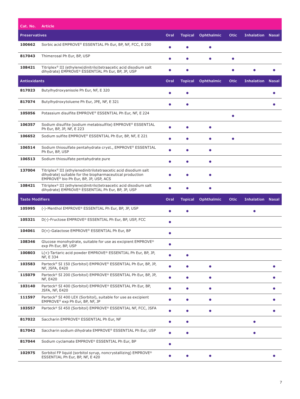| Cat. No.               | <b>Article</b>                                                                                                                                                                   |           |                |                   |             |                         |              |
|------------------------|----------------------------------------------------------------------------------------------------------------------------------------------------------------------------------|-----------|----------------|-------------------|-------------|-------------------------|--------------|
| <b>Preservatives</b>   |                                                                                                                                                                                  | Oral      | <b>Topical</b> | <b>Ophthalmic</b> | <b>Otic</b> | <b>Inhalation Nasal</b> |              |
| 100662                 | Sorbic acid EMPROVE® ESSENTIAL Ph Eur, BP, NF, FCC, E 200                                                                                                                        | O         |                | $\bullet$         |             |                         |              |
| 817043                 | Thimerosal Ph Eur, BP, USP                                                                                                                                                       |           |                | $\bullet$         |             |                         |              |
| 108421                 | Titriplex <sup>®</sup> III (ethylene dinitrilo tetraacetic acid disodium salt<br>dihydrate) EMPROVE® ESSENTIAL Ph Eur, BP, JP, USP                                               |           |                |                   |             |                         |              |
| <b>Antioxidants</b>    |                                                                                                                                                                                  | Oral      | <b>Topical</b> | <b>Ophthalmic</b> | <b>Otic</b> | <b>Inhalation</b>       | <b>Nasal</b> |
| 817023                 | Butylhydroxyanisole Ph Eur, NF, E 320                                                                                                                                            |           | Ο              |                   |             |                         |              |
| 817074                 | Butylhydroxytoluene Ph Eur, JPE, NF, E 321                                                                                                                                       | ●         | $\bullet$      |                   |             |                         |              |
| 105056                 | Potassium disulfite EMPROVE® ESSENTIAL Ph Eur, NF, E 224                                                                                                                         |           |                |                   |             |                         |              |
| 106357                 | Sodium disulfite (sodium metabisulfite) EMPROVE® ESSENTIAL<br>Ph Eur, BP, JP, NF, E 223                                                                                          | ė         |                | $\bullet$         |             |                         |              |
| 106652                 | Sodium sulfite EMPROVE® ESSENTIAL Ph Eur, BP, NF, E 221                                                                                                                          | ●         | Ο              | $\bullet$         | $\bullet$   |                         |              |
| 106514                 | Sodium thiosulfate pentahydrate cryst., EMPROVE® ESSENTIAL<br>Ph Eur, BP, USP                                                                                                    |           | $\bullet$      | $\bullet$         |             |                         |              |
| 106513                 | Sodium thiosulfate pentahydrate pure                                                                                                                                             |           | O              | $\bullet$         |             |                         |              |
| 137004                 | Titriplex <sup>®</sup> III (ethylenedinitrilotetraacetic acid disodium salt<br>dihydrate) suitable for the biopharmaceutical production<br>EMPROVE® bio Ph Eur, BP, JP, USP, ACS |           |                |                   |             |                         |              |
| 108421                 | Titriplex® III (ethylene dinitrilo tetraacetic acid disodium salt<br>dihydrate) EMPROVE® ESSENTIAL Ph Eur, BP, JP, USP                                                           |           |                | $\bullet$         |             |                         |              |
|                        |                                                                                                                                                                                  |           |                |                   |             |                         |              |
| <b>Taste Modifiers</b> |                                                                                                                                                                                  | Oral      | <b>Topical</b> | <b>Ophthalmic</b> | <b>Otic</b> | <b>Inhalation Nasal</b> |              |
| 105995                 | (-)-Menthol EMPROVE® ESSENTIAL Ph Eur, BP, JP, USP                                                                                                                               | ●         | $\bullet$      |                   |             | $\bullet$               |              |
| 105321                 | D(-)-Fructose EMPROVE® ESSENTIAL Ph Eur, BP, USP, FCC                                                                                                                            | $\bullet$ |                |                   |             |                         |              |
| 104061                 | D(+)-Galactose EMPROVE® ESSENTIAL Ph Eur, BP                                                                                                                                     | $\bullet$ |                |                   |             |                         |              |
| 108346                 | Glucose monohydrate, suitable for use as excipient EMPROVE <sup>®</sup><br>exp Ph Eur, BP, USP                                                                                   |           |                |                   |             |                         |              |
| 100803                 | L(+)-Tartaric acid powder EMPROVE® ESSENTIAL Ph Eur, BP, JP,<br>NF, E 334                                                                                                        |           |                |                   |             |                         |              |
| 103583                 | Parteck® SI 150 (Sorbitol) EMPROVE® ESSENTIAL Ph Eur, BP, JP,<br><b>NF, JSFA, E420</b>                                                                                           | $\bullet$ |                | $\bullet$         |             |                         |              |
| 115079                 | Parteck® SI 200 (Sorbitol) EMPROVE® ESSENTIAL Ph Eur, BP, JP,<br><b>NF, E420</b>                                                                                                 | $\bullet$ | $\bullet$      | $\bullet$         |             |                         |              |
| 103140                 | Parteck® SI 400 (Sorbitol) EMPROVE® ESSENTIAL Ph Eur, BP,<br>JSFA, NF, E420                                                                                                      | $\bullet$ | $\bullet$      | $\bullet$         |             |                         |              |
| 111597                 | Parteck® SI 400 LEX (Sorbitol), suitable for use as excipient<br>EMPROVE® exp Ph Eur, BP, NF, JP                                                                                 | $\bullet$ | $\bullet$      | $\bullet$         |             |                         |              |
| 103557                 | Parteck® SI 450 (Sorbitol) EMPROVE® ESSENTIAL NF, FCC, JSFA                                                                                                                      | $\bullet$ | $\bullet$      | $\bullet$         |             |                         |              |
| 817022                 | Saccharin EMPROVE® ESSENTIAL Ph Eur, NF                                                                                                                                          | $\bullet$ | $\bullet$      |                   |             |                         |              |
| 817042                 | Saccharin sodium dihydrate EMPROVE® ESSENTIAL Ph Eur, USP                                                                                                                        | $\bullet$ | $\bullet$      |                   |             | $\bullet$               |              |
| 817044                 | Sodium cyclamate EMPROVE® ESSENTIAL Ph Eur, BP                                                                                                                                   | $\bullet$ |                |                   |             |                         |              |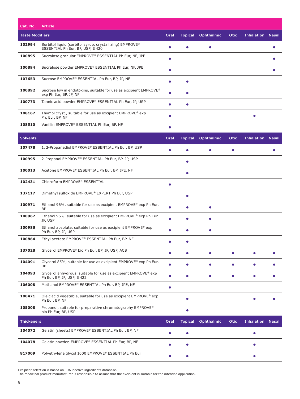| Cat. No.               | <b>Article</b>                                                                                           |           |                |                   |             |                         |  |
|------------------------|----------------------------------------------------------------------------------------------------------|-----------|----------------|-------------------|-------------|-------------------------|--|
| <b>Taste Modifiers</b> |                                                                                                          | Oral      | <b>Topical</b> | Ophthalmic        | <b>Otic</b> | <b>Inhalation Nasal</b> |  |
| 102994                 | Sorbitol liquid (sorbitol syrup, crystallizing) EMPROVE <sup>®</sup><br>ESSENTIAL Ph Eur, BP, USP, E 420 | ●         |                | $\bullet$         |             |                         |  |
| 100895                 | Sucralose granular EMPROVE® ESSENTIAL Ph Eur, NF, JPE                                                    | $\bullet$ |                |                   |             |                         |  |
| 100894                 | Sucralose powder EMPROVE® ESSENTIAL Ph Eur, NF, JPE                                                      | $\bullet$ |                |                   |             |                         |  |
| 107653                 | Sucrose EMPROVE® ESSENTIAL Ph Eur, BP, JP, NF                                                            | O         | $\bullet$      |                   |             |                         |  |
| 100892                 | Sucrose low in endotoxins, suitable for use as excipient EMPROVE <sup>®</sup><br>exp Ph Eur, BP, JP, NF  | $\bullet$ |                |                   |             |                         |  |
| 100773                 | Tannic acid powder EMPROVE® ESSENTIAL Ph Eur, JP, USP                                                    | $\bullet$ | $\bullet$      |                   |             |                         |  |
| 108167                 | Thymol cryst., suitable for use as excipient EMPROVE <sup>®</sup> exp<br>Ph, Eur, BP, NF                 | ●         |                |                   |             |                         |  |
| 108510                 | Vanillin EMPROVE® ESSENTIAL Ph Eur, BP, NF                                                               | O         |                |                   |             |                         |  |
| <b>Solvents</b>        |                                                                                                          | Oral      | <b>Topical</b> | <b>Ophthalmic</b> | <b>Otic</b> | <b>Inhalation Nasal</b> |  |
| 107478                 | 1, 2-Propanediol EMPROVE® ESSENTIAL Ph Eur, BP, USP                                                      |           |                |                   | $\bullet$   |                         |  |
| 100995                 | 2-Propanol EMPROVE® ESSENTIAL Ph Eur, BP, JP, USP                                                        |           |                |                   |             |                         |  |
| 100013                 | Acetone EMPROVE® ESSENTIAL Ph Eur, BP, JPE, NF                                                           |           | $\bullet$      |                   |             |                         |  |
| 102431                 | Chloroform EMPROVE® ESSENTIAL                                                                            | $\bullet$ |                |                   |             |                         |  |
| 137117                 | Dimethyl sulfoxide EMPROVE® EXPERT Ph Eur, USP                                                           |           | $\bullet$      |                   |             |                         |  |
| 100971                 | Ethanol 96%, suitable for use as excipient EMPROVE® exp Ph Eur,<br><b>BP</b>                             | $\bullet$ | $\bullet$      | $\bullet$         |             |                         |  |
| 100967                 | Ethanol 96%, suitable for use as excipient EMPROVE® exp Ph Eur,<br>JP, USP                               | Ô         | ●              | ٠                 |             |                         |  |
| 100986                 | Ethanol absolute, suitable for use as excipient EMPROVE <sup>®</sup> exp<br>Ph Eur, BP, JP, USP          |           |                | $\bullet$         |             |                         |  |
| 100864                 | Ethyl acetate EMPROVE® ESSENTIAL Ph Eur, BP, NF                                                          |           |                |                   |             |                         |  |
| 137028                 | Glycerol EMPROVE <sup>®</sup> bio Ph Eur, BP, JP, USP, ACS                                               |           |                |                   |             |                         |  |
| 104091                 | Glycerol 85%, suitable for use as excipient EMPROVE® exp Ph Eur,<br><b>BP</b>                            | $\bullet$ | ●              | $\bullet$         |             |                         |  |
| 104093                 | Glycerol anhydrous, suitable for use as excipient EMPROVE® exp<br>Ph Eur, BP, JP, USP, E 422             | Ó         |                | $\bullet$         |             |                         |  |
| 106008                 | Methanol EMPROVE® ESSENTIAL Ph Eur, BP, JPE, NF                                                          | $\bullet$ |                |                   |             |                         |  |
| 100471                 | Oleic acid vegetable, suitable for use as excipient EMPROVE <sup>®</sup> exp<br>Ph Eur, BP, NF           |           | $\bullet$      |                   |             | $\bullet$               |  |
| 105008                 | Propanol, suitable for preparative chromatography EMPROVE®<br>bio Ph Eur, BP, USP                        |           | $\bullet$      |                   |             |                         |  |
| <b>Thickeners</b>      |                                                                                                          | Oral      | <b>Topical</b> | Ophthalmic        | Otic        | <b>Inhalation Nasal</b> |  |
| 104072                 | Gelatin (sheets) EMPROVE® ESSENTIAL Ph Eur, BP, NF                                                       |           |                |                   |             |                         |  |
| 104078                 | Gelatin powder, EMPROVE® ESSENTIAL Ph Eur, BP, NF                                                        |           | 0              |                   |             |                         |  |
| 817009                 | Polyethylene glycol 1000 EMPROVE® ESSENTIAL Ph Eur                                                       | $\bullet$ | $\bullet$      |                   |             |                         |  |

Excipient selection is based on FDA inactive ingredients database.

The medicinal product manufacturer is responsible to assure that the excipient is suitable for the intended application.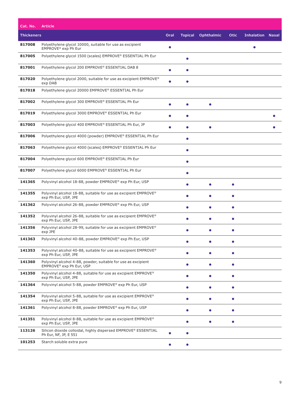| Cat. No.          | <b>Article</b>                                                                                        |           |                |                   |             |                         |  |
|-------------------|-------------------------------------------------------------------------------------------------------|-----------|----------------|-------------------|-------------|-------------------------|--|
| <b>Thickeners</b> |                                                                                                       | Oral      | <b>Topical</b> | <b>Ophthalmic</b> | <b>Otic</b> | <b>Inhalation Nasal</b> |  |
| 817008            | Polyethylene glycol 10000, suitable for use as excipient<br>EMPROVE <sup>®</sup> exp Ph Eur           | $\bullet$ |                |                   |             | $\bullet$               |  |
| 817005            | Polyethylene glycol 1500 (scales) EMPROVE® ESSENTIAL Ph Eur                                           |           | $\bullet$      |                   |             |                         |  |
| 817001            | Polyethylene glycol 200 EMPROVE® ESSENTIAL DAB 8                                                      |           |                |                   |             |                         |  |
| 817020            | Polyethylene glycol 2000, suitable for use as excipient EMPROVE <sup>®</sup><br>exp DAB               | $\bullet$ |                |                   |             |                         |  |
| 817018            | Polyethylene glycol 20000 EMPROVE® ESSENTIAL Ph Eur                                                   |           |                |                   |             |                         |  |
| 817002            | Polyethylene glycol 300 EMPROVE® ESSENTIAL Ph Eur                                                     |           |                |                   |             |                         |  |
| 817019            | Polyethylene glycol 3000 EMPROVE® ESSENTIAL Ph Eur                                                    |           |                |                   |             |                         |  |
| 817003            | Polyethylene glycol 400 EMPROVE® ESSENTIAL Ph Eur, JP                                                 | $\bullet$ | $\bullet$      | $\bullet$         |             |                         |  |
| 817006            | Polyethylene glycol 4000 (powder) EMPROVE® ESSENTIAL Ph Eur                                           |           | ●              |                   |             |                         |  |
| 817063            | Polyethylene glycol 4000 (scales) EMPROVE® ESSENTIAL Ph Eur                                           |           | $\bullet$      |                   |             |                         |  |
| 817004            | Polyethylene glycol 600 EMPROVE® ESSENTIAL Ph Eur                                                     |           | $\bullet$      |                   |             |                         |  |
| 817007            | Polyethylene glycol 6000 EMPROVE® ESSENTIAL Ph Eur                                                    |           | $\bullet$      |                   |             |                         |  |
| 141365            | Polyvinyl alcohol 18-88, powder EMPROVE® exp Ph Eur, USP                                              |           | ●              | $\bullet$         | $\bullet$   |                         |  |
| 141355            | Polyvinyl alcohol 18-88, suitable for use as excipient EMPROVE <sup>®</sup><br>exp Ph Eur, USP, JPE   |           |                |                   | $\bullet$   |                         |  |
| 141362            | Polyvinyl alcohol 26-88, powder EMPROVE® exp Ph Eur, USP                                              |           |                |                   |             |                         |  |
| 141352            | Polyvinyl alcohol 26-88, suitable for use as excipient EMPROVE <sup>®</sup><br>exp Ph Eur, USP, JPE   |           |                |                   |             |                         |  |
| 141356            | Polyvinyl alcohol 28-99, suitable for use as excipient EMPROVE <sup>®</sup><br>exp JPE                |           | $\bullet$      | $\bullet$         | $\bullet$   |                         |  |
| 141363            | Polyvinyl alcohol 40-88, powder EMPROVE® exp Ph Eur, USP                                              |           |                |                   |             |                         |  |
| 141353            | Polyvinyl alcohol 40-88, suitable for use as excipient EMPROVE <sup>®</sup><br>exp Ph Eur, USP, JPE   |           |                |                   | $\bullet$   |                         |  |
| 141360            | Polyvinyl alcohol 4-88, powder, suitable for use as excipient<br>EMPROVE <sup>®</sup> exp Ph Eur, USP |           | $\bullet$      | $\bullet$         | $\bullet$   |                         |  |
| 141350            | Polyvinyl alcohol 4-88, suitable for use as excipient EMPROVE <sup>®</sup><br>exp Ph Eur, USP, JPE    |           | $\bullet$      | $\bullet$         | $\bullet$   |                         |  |
| 141364            | Polyvinyl alcohol 5-88, powder EMPROVE® exp Ph Eur, USP                                               |           | $\bullet$      | $\bullet$         | $\bullet$   |                         |  |
| 141354            | Polyvinyl alcohol 5-88, suitable for use as excipient EMPROVE <sup>®</sup><br>exp Ph Eur, USP, JPE    |           | $\bullet$      | $\bullet$         | $\bullet$   |                         |  |
| 141361            | Polyvinyl alcohol 8-88, powder EMPROVE® exp Ph Eur, USP                                               |           | $\bullet$      | $\bullet$         | $\bullet$   |                         |  |
| 141351            | Polyvinyl alcohol 8-88, suitable for use as excipient EMPROVE <sup>®</sup><br>exp Ph Eur, USP, JPE    |           |                | $\bullet$         | $\bullet$   |                         |  |
| 113126            | Silicon dioxide colloidal, highly dispersed EMPROVE® ESSENTIAL<br>Ph Eur, NF, JP, E 551               | $\bullet$ | $\bullet$      |                   |             |                         |  |
| 101253            | Starch soluble extra pure                                                                             |           | $\bullet$      |                   |             |                         |  |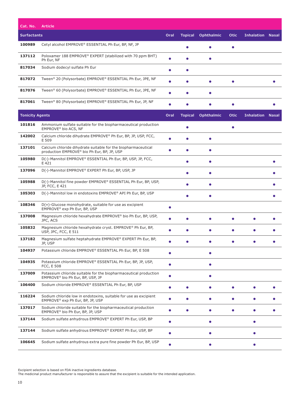| Cat. No.               | <b>Article</b>                                                                                                |           |                |                   |           |                         |           |
|------------------------|---------------------------------------------------------------------------------------------------------------|-----------|----------------|-------------------|-----------|-------------------------|-----------|
| <b>Surfactants</b>     |                                                                                                               | Oral      | <b>Topical</b> | <b>Ophthalmic</b> | Otic      | <b>Inhalation Nasal</b> |           |
| 100989                 | Cetyl alcohol EMPROVE® ESSENTIAL Ph Eur, BP, NF, JP                                                           |           |                |                   |           |                         |           |
| 137112                 | Poloxamer 188 EMPROVE <sup>®</sup> EXPERT (stabilized with 70 ppm BHT)<br>Ph Eur, NF                          |           |                | $\bullet$         |           |                         |           |
| 817034                 | Sodium dodecyl sulfate Ph Eur                                                                                 |           | $\bullet$      |                   |           |                         |           |
| 817072                 | Tween® 20 (Polysorbate) EMPROVE® ESSENTIAL Ph Eur, JPE, NF                                                    | $\bullet$ | $\bullet$      | ٠                 |           |                         |           |
| 817076                 | Tween® 60 (Polysorbate) EMPROVE® ESSENTIAL Ph Eur, JPE, NF                                                    | $\bullet$ | $\bullet$      | $\bullet$         |           |                         |           |
| 817061                 | Tween® 80 (Polysorbate) EMPROVE® ESSENTIAL Ph Eur, JP, NF                                                     |           |                |                   |           |                         |           |
| <b>Tonicity Agents</b> |                                                                                                               | Oral      | <b>Topical</b> | <b>Ophthalmic</b> | Otic      | <b>Inhalation Nasal</b> |           |
| 101816                 | Ammonium sulfate suitable for the biopharmaceutical production<br>EMPROVE® bio ACS, NF                        |           | ●              |                   | $\bullet$ |                         |           |
| 142002                 | Calcium chloride dihydrate EMPROVE® Ph Eur, BP, JP, USP, FCC,<br>E 509                                        |           |                | $\bullet$         |           |                         |           |
| 137101                 | Calcium chloride dihydrate suitable for the biopharmaceutical<br>production EMPROVE® bio Ph Eur, BP, JP, USP  |           |                | $\bullet$         |           |                         |           |
| 105980                 | D(-)-Mannitol EMPROVE® ESSENTIAL Ph Eur, BP, USP, JP, FCC,<br>E 421                                           |           | $\bullet$      | $\bullet$         |           |                         |           |
| 137096                 | D(-)-Mannitol EMPROVE® EXPERT Ph Eur, BP, USP, JP                                                             |           | $\bullet$      | $\bullet$         |           |                         |           |
| 105988                 | D(-)-Mannitol fine powder EMPROVE® ESSENTIAL Ph Eur, BP, USP,<br>JP, FCC, E 421                               |           | $\bullet$      | $\bullet$         |           |                         |           |
| 105303                 | D(-)-Mannitol low in endotoxins EMPROVE® API Ph Eur, BP, USP                                                  |           |                | $\bullet$         |           |                         |           |
| 108346                 | $D(+)$ -Glucose monohydrate, suitable for use as excipient<br>EMPROVE® exp Ph Eur, BP, USP                    | $\bullet$ |                |                   |           |                         |           |
| 137008                 | Magnesium chloride hexahydrate EMPROVE <sup>®</sup> bio Ph Eur, BP, USP,<br>JPC, ACS                          |           | $\bullet$      | $\bullet$         | $\bullet$ |                         |           |
| 105832                 | Magnesium chloride hexahydrate cryst. EMPROVE <sup>®</sup> Ph Eur, BP,<br>USP, JPC, FCC, E 511                |           |                |                   |           |                         |           |
| 137182                 | Magnesium sulfate heptahydrate EMPROVE® EXPERT Ph Eur, BP,<br>JP, USP                                         |           |                |                   |           |                         |           |
| 104937                 | Potassium chloride EMPROVE® ESSENTIAL Ph Eur, BP, E 508                                                       |           |                |                   |           |                         |           |
| 104935                 | Potassium chloride EMPROVE® ESSENTIAL Ph Eur, BP, JP, USP,<br>FCC, E 508                                      | $\bullet$ |                | $\bullet$         |           |                         |           |
| 137009                 | Potassium chloride suitable for the biopharmaceutical production<br>EMPROVE® bio Ph Eur, BP, USP, JP          | $\bullet$ |                | $\bullet$         |           |                         |           |
| 106400                 | Sodium chloride EMPROVE® ESSENTIAL Ph Eur, BP, USP                                                            | $\bullet$ | $\bullet$      | $\bullet$         | $\bullet$ | $\bullet$               | $\bullet$ |
| 116224                 | Sodium chloride low in endotoxins, suitable for use as excipient<br>EMPROVE® exp Ph Eur, BP, JP, USP          | $\bullet$ |                | $\bullet$         |           | $\bullet$               |           |
| 137017                 | Sodium chloride suitable for the biopharmaceutical production<br>EMPROVE <sup>®</sup> bio Ph Eur, BP, JP, USP |           |                | $\bullet$         |           |                         |           |
| 137144                 | Sodium sulfate anhydrous EMPROVE® EXPERT Ph Eur, USP, BP                                                      | $\bullet$ |                | $\bullet$         |           | $\bullet$               |           |
| 137144                 | Sodium sulfate anhydrous EMPROVE® EXPERT Ph Eur, USP, BP                                                      | $\bullet$ |                | $\bullet$         |           |                         |           |
| 106645                 | Sodium sulfate anhydrous extra pure fine powder Ph Eur, BP, USP                                               | $\bullet$ |                | $\bullet$         |           | $\bullet$               |           |

Excipient selection is based on FDA inactive ingredients database.

The medicinal product manufacturer is responsible to assure that the excipient is suitable for the intended application.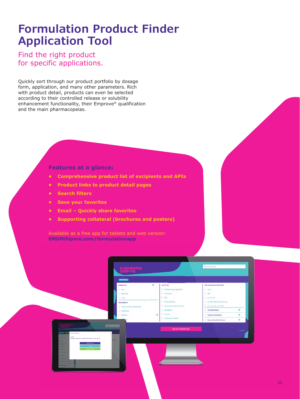### **Formulation Product Finder Application Tool**

Find the right product for specific applications.

Quickly sort through our product portfolio by dosage form, application, and many other parameters. Rich with product detail, products can even be selected according to their controlled release or solubility enhancement functionality, their Emprove® qualification and the main pharmacopeias.

#### **Features at a glance:**

- **Comprehensive product list of excipients and APIs**
- **Product links to product detail pages**
- **Search filters**
- **Save your favorites**
- **Email Quickly share favorites**
- **Supporting collateral (brochures and posters)**

Available as a free app for tablets and web version: **EMDMillipore.com/formulationapp**

ö

 $-$  Ph Eur S<sup>i</sup>use  $19, 190$ SF CAL DA .<br>NS. ACN.

**Emprovedi Qualified Prode**